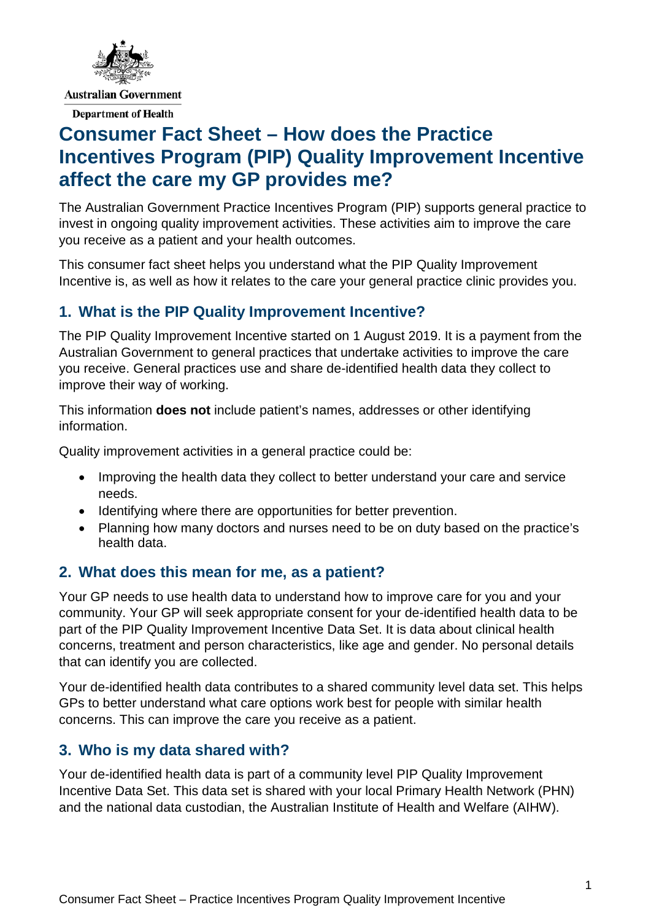

# **Consumer Fact Sheet – How does the Practice Incentives Program (PIP) Quality Improvement Incentive affect the care my GP provides me?**

The Australian Government Practice Incentives Program (PIP) supports general practice to invest in ongoing quality improvement activities. These activities aim to improve the care you receive as a patient and your health outcomes.

This consumer fact sheet helps you understand what the PIP Quality Improvement Incentive is, as well as how it relates to the care your general practice clinic provides you.

## **1. What is the PIP Quality Improvement Incentive?**

The PIP Quality Improvement Incentive started on 1 August 2019. It is a payment from the Australian Government to general practices that undertake activities to improve the care you receive. General practices use and share de-identified health data they collect to improve their way of working.

This information **does not** include patient's names, addresses or other identifying information.

Quality improvement activities in a general practice could be:

- Improving the health data they collect to better understand your care and service needs.
- Identifying where there are opportunities for better prevention.
- Planning how many doctors and nurses need to be on duty based on the practice's health data.

#### **2. What does this mean for me, as a patient?**

Your GP needs to use health data to understand how to improve care for you and your community. Your GP will seek appropriate consent for your de-identified health data to be part of the PIP Quality Improvement Incentive Data Set. It is data about clinical health concerns, treatment and person characteristics, like age and gender. No personal details that can identify you are collected.

Your de-identified health data contributes to a shared community level data set. This helps GPs to better understand what care options work best for people with similar health concerns. This can improve the care you receive as a patient.

#### **3. Who is my data shared with?**

Your de-identified health data is part of a community level PIP Quality Improvement Incentive Data Set. This data set is shared with your local Primary Health Network (PHN) and the national data custodian, the Australian Institute of Health and Welfare (AIHW).